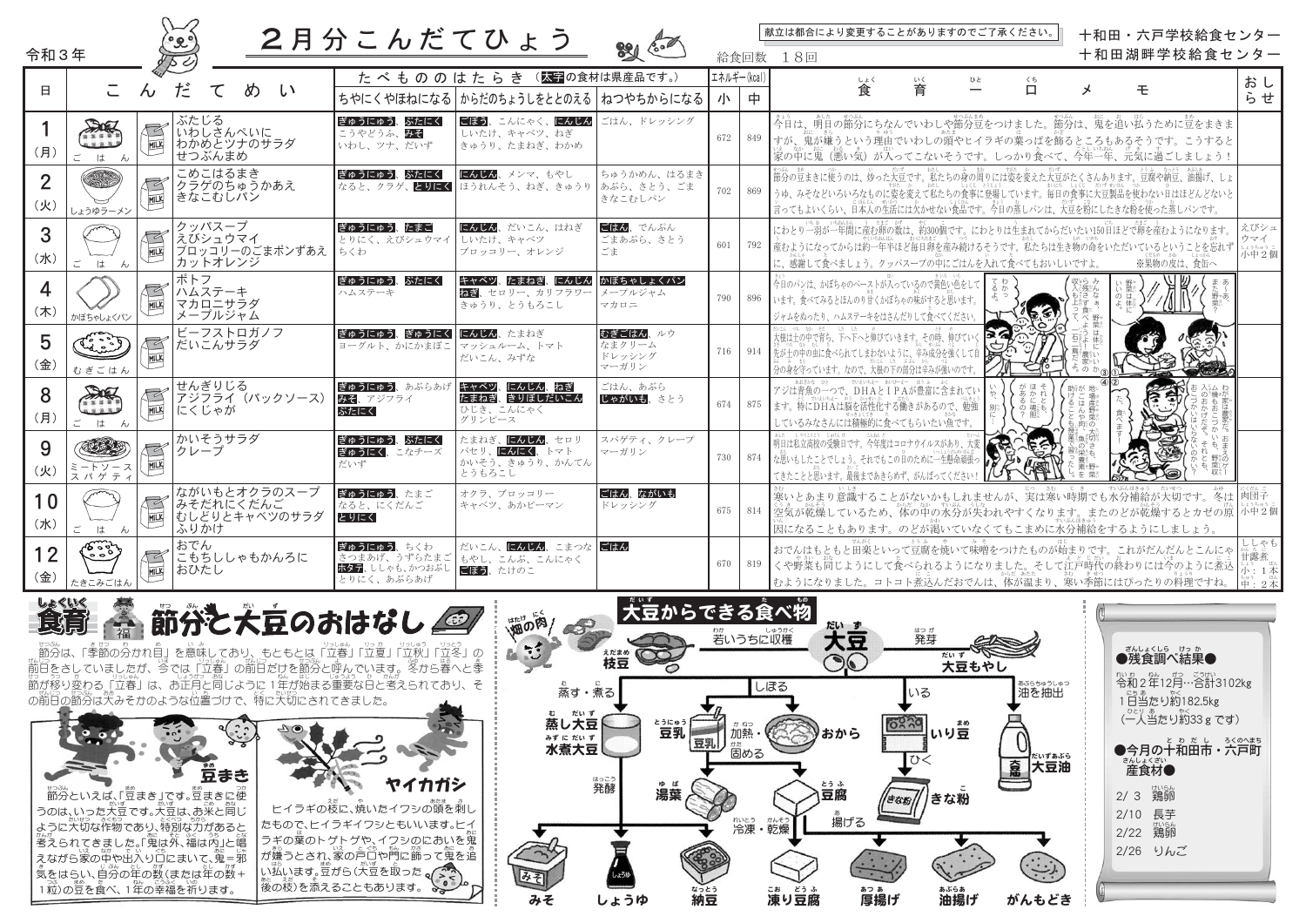| 令和3年                  |                                        |                                                    | 2月分こんだてひょう                                                         |                                                                 |                                       |                  | 給食回数 | 献立は都合により変更することがありますのでご了承ください。<br>十和田・六戸学校給食センター<br>十和田湖畔学校給食センター<br>18回                                                                                                               |                                                              |
|-----------------------|----------------------------------------|----------------------------------------------------|--------------------------------------------------------------------|-----------------------------------------------------------------|---------------------------------------|------------------|------|---------------------------------------------------------------------------------------------------------------------------------------------------------------------------------------|--------------------------------------------------------------|
| 日                     | こ<br>$\sim$                            | だ<br>て<br>め<br>$\mathcal{L}$                       |                                                                    | たべもののはたらき (太字の食材は県産品です。)<br>ちやにくやほねになる からだのちょうしをととのえる ねつやちからになる |                                       | エネルギー(kcal)<br>小 | 中    | しょく<br>ひと<br>いく<br>くち<br>育<br>$\Box$<br>食<br>モ<br>メ<br>$\overline{\phantom{0}}$                                                                                                       | おし<br>らせ                                                     |
| (月)                   | DIE<br>MILK<br>. <u>.</u><br>は<br>h,   | ぶたじる<br>いわしさんぺいに<br>わかめとツナのサラダ<br>せつぶんまめ           | ぎゅうにゅう、ぶたにく<br>こうやどうふ、みそ<br>いわし、ツナ、だいず                             | ごぼう、こんにゃく、にんじん<br>しいたけ、キャベツ、ねぎ<br>きゅうり、たまねぎ、わかめ                 | ごはん、ドレッシング                            | 672              | 849  | 今日は、明日の節分にちなんでいわしや節分豆をつけました。節分は、鬼を追い払うために豆をまきま<br>すが、鬼が嫌うという理由でいわしの頭やヒイラギの葉っぱを飾るところもあるそうです。こうすると<br>家の中に鬼(悪い気)が入ってこないそうです。しっかり食べて、今年一年、元気に過ごしましょう!                                    |                                                              |
| $\overline{2}$<br>(火) | MILK<br>しょうゆラーメン                       | こめこはるまき<br>クラゲのちゅうかあえ<br>きなこむしパン                   | ぎゅうにゅう、ぶたにく                                                        | にんじん、メンマ、もやし<br>なると、クラゲ、2012く ほうれんそう、ねぎ、きゅうり あぶら、さとう、ごま         | ちゅうかめん、はるまき<br>きなこむしパン                | 702              | 869  | うゆ、みそなどいろいろなものに姿を変えて私たちの食事に登場しています。毎日の食事に大豆製品を使わない自はほどんどないと<br>、。<br>言ってもよいくらい、日本人の生活には欠かせない食品です。今日の蒸しパンは、大豆を粉にしたきな粉を使った蒸しパンです。                                                       |                                                              |
| 3<br>(7K)             | MILK<br>ご<br>は<br>$\sim$               | クッパスープ<br>えびシュウマイ<br>ブロッコリーのごまポンずあえ<br>カットオレンジ     | ぎゅうにゅう、たまご<br>とりにく、えびシュウマイ しいたけ、キャベツ<br>ちくわ                        | にんじん、だいこん、はねぎ<br>ブロッコリー、オレンジ                                    | ごはん、でんぷん<br>ごまあぶら、さとう<br>ごま           | 601              | 792  | にわとり一羽が一年間に産む卵の数は、約300個です。にわとりは生まれてからだいたい150日ほどで卵を産むようになります。<br>┃産むようになってからは約一年半ほど毎日卵を産み続けるそうです。私たちは生き物の命をいただいているということを忘れず<br>に、感謝して食べましょう。クッパスープの中にごはんを入れて食べてもおいしいですよ。<br>※果物の皮は、食缶へ | えびシュ<br>ウマイ<br>〔13559〕。]<br>小中2個                             |
| 4<br>(木)              | MILK<br>かぼちゃしょくパン                      | ポトフ<br>ハムステーキ<br>マカロニサラダ<br>メープルジャム                | ぎゅうにゅう、ぶたにく<br>ハムステーキ                                              | キャベツ、たまねぎ、にんじん<br><b>ねぎ</b> 、セロリー、カリフラワー<br>きゅうり、とうもろこし         | かぼちゃしょくパン<br>メープルジャム<br>マカロニ          | 790              | 896  | 今日のパンは、かぼちゃのペーストが入っているので黄色い色をして<br>います。食べてみるとほんのり甘くかぼちゃの味がすると思います。<br>$\frac{1}{2}$<br>$\sqrt{2}$<br>ジャムをぬったり、ハムステーキをはさんだりして食べてください                                                   |                                                              |
| 5<br>(金)              | $\mathbb{R}$<br>MILK<br>むぎごはん          | ビーフストロガノフ<br>だいこんサラダ                               | ぎゅうにゅう、ぎゅうにく にんじん、たまねぎ<br>ヨーグルト、かにかまぼこ マッシュルーム、トマト                 | だいこん、みずな                                                        | むぎごはん、ルウ<br>なまクリーム<br>ドレッシング<br>マーガリン | 716              | 914  | > 2<br>赏<br>  先が土の中の虫に食べられてしまわないように、辛み成分を強くして自<br>分の身を守っています。なので、大根の下の部分は辛みが強いのです                                                                                                     |                                                              |
| 8<br>(月)              | DE<br>MILK<br><u>له مین</u><br>はん<br>ご | せんぎりじる<br>アジフライ (パックソース)<br>にくじゃが                  | ぎゅうにゅう、あぶらあけ<br>みそ、アジフライ<br>ぶたにく                                   | キャベツ、にんじん、ねぎ<br>たまねぎ、きりぼしだいこん<br>ひじき、こんにゃく<br>グリンピース            | ごはん、あぶら<br>じゃがいも、さとう                  | 674              | 875  | アジは青魚の一つで、DHAとIPAが豊富に含まれてい<br>ます。特にDHAは脳を活性化する働きがあるので、勉強<br>しているみなさんには積極的に食べてもらいたい魚です。                                                                                                |                                                              |
| 9<br>(火)              | MILK<br>ートソース<br>ミートソース<br>ス パ ゲ ティ    | かいそうサラダ<br>クレープ                                    | ぎゅうにゅう、ぶたにく<br>ぎゅうにく、こなチーズ<br>だいず                                  | たまねぎ、にんじん、セロリ<br>パセリ、にんにく、トマト<br>かいそう、きゅうり、かんてん<br>とうもろこし       | スパゲティ、クレープ<br>マーガリン                   | 730              | 874  | <b>RAC</b><br>明日は私立高校の受験日です。今年度はコロナウイルスがあり、大変<br>な思いもしたことでしょう。それでもこの自のために一生懸命頑張っ<br>てきたことと思います。最後まであきらめず、がんばってく                                                                       |                                                              |
| 10<br>(7K)            | MILK<br>ご<br>はん                        | ながいもとオクラのスープ<br>みそだれにくだんご<br>おしどりとキャベツのサラダ<br>ふりかけ | ぎゅうにゅう、たまご<br>なると、にくだんご<br>とりにく                                    | オクラ、ブロッコリー<br>キャベツ、あかピーマン                                       | ごはん、ながいも<br>ドレッシング                    | 675              | 814  | 寒いとあまり意識することがないかもしれませんが、実は寒い時期でも水分補給が大切です。冬は 肉団子<br>┃空気が乾燥しているため、体の中の水分が失われやすくなります。またのどが乾燥するとカゼの原  小中2個<br>因になることもあります。のどが渇いていなくてもこまめに水分補給をするようにしましょう。                                |                                                              |
| 12<br>(金)             | می جمعی<br>مرگ<br>MILK<br>たきこみごはん      | おでん<br>こもちししゃもかんろに<br>おひたし                         | ぎゅうにゅう、ちくわ<br>さつまあげ、うずらたまご<br><b>ホタテ</b> 、ししゃも、かつおぶし<br>とりにく、あぶらあげ | だいこん、にんじん、こまつな にはん<br>もやし、こんぶ、こんにゃく<br>ごぼう、たけのこ                 |                                       | 670              | 819  | おでんはもともと田楽といって豆腐を焼いて味噌をつけたものが始まりです。これがだんだんとこんにゃ<br>くや野菜も同じようにして食べられるようになりました。そして江戸時代の終わりには今のように煮込<br>むようになりました。コトコト煮込んだおでんは、体が温まり、寒い季節にはぴったりの料理ですね。                                   | しゃも<br>…。<br>甘露煮<br>小:1本<br>$\left  \pm \cdot 2 \pm \right $ |